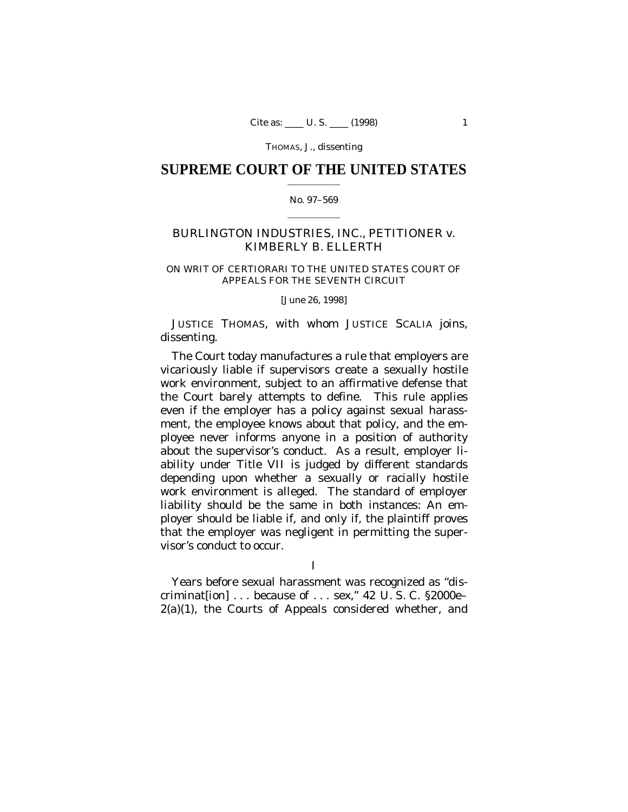### **SUPREME COURT OF THE UNITED STATES**  $\mathcal{L}_\text{max}$  and  $\mathcal{L}_\text{max}$

## No. 97–569  $\mathcal{L}=\mathcal{L}^{\mathcal{L}}$  , where  $\mathcal{L}^{\mathcal{L}}$

# BURLINGTON INDUSTRIES, INC., PETITIONER *v.* KIMBERLY B. ELLERTH

## ON WRIT OF CERTIORARI TO THE UNITED STATES COURT OF APPEALS FOR THE SEVENTH CIRCUIT

[June 26, 1998]

JUSTICE THOMAS, with whom JUSTICE SCALIA joins, dissenting.

The Court today manufactures a rule that employers are vicariously liable if supervisors create a sexually hostile work environment, subject to an affirmative defense that the Court barely attempts to define. This rule applies even if the employer has a policy against sexual harassment, the employee knows about that policy, and the employee never informs anyone in a position of authority about the supervisor's conduct. As a result, employer liability under Title VII is judged by different standards depending upon whether a sexually or racially hostile work environment is alleged. The standard of employer liability should be the same in both instances: An employer should be liable if, and only if, the plaintiff proves that the employer was negligent in permitting the supervisor's conduct to occur.

I

Years before sexual harassment was recognized as "discriminat[ion] . . . because of . . . sex," 42 U. S. C. §2000e–  $2(a)(1)$ , the Courts of Appeals considered whether, and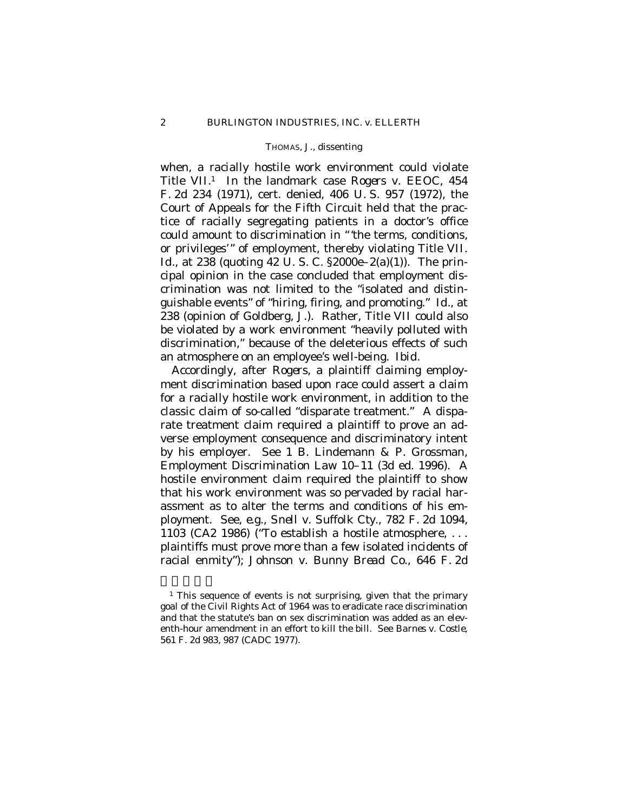when, a racially hostile work environment could violate Title VII.<sup>1</sup> In the landmark case *Rogers* v. *EEOC*, 454 F. 2d 234 (1971), cert. denied, 406 U. S. 957 (1972), the Court of Appeals for the Fifth Circuit held that the practice of racially segregating patients in a doctor's office could amount to discrimination in "'the terms, conditions, or privileges'" of employment, thereby violating Title VII. *Id.,* at 238 (quoting 42 U.S.C. §2000e–2(a)(1)). The principal opinion in the case concluded that employment discrimination was not limited to the "isolated and distinguishable events" of "hiring, firing, and promoting." *Id.,* at 238 (opinion of Goldberg, J.). Rather, Title VII could also be violated by a work environment "heavily polluted with discrimination," because of the deleterious effects of such an atmosphere on an employee's well-being. *Ibid*.

Accordingly, after *Rogers,* a plaintiff claiming employment discrimination based upon race could assert a claim for a racially hostile work environment, in addition to the classic claim of so-called "disparate treatment." A disparate treatment claim required a plaintiff to prove an adverse employment consequence and discriminatory intent by his employer. See 1 B. Lindemann & P. Grossman, Employment Discrimination Law 10–11 (3d ed. 1996). A hostile environment claim required the plaintiff to show that his work environment was so pervaded by racial harassment as to alter the terms and conditions of his employment. See, *e.g., Snell* v. *Suffolk Cty.*, 782 F. 2d 1094, 1103 (CA2 1986) ("To establish a hostile atmosphere, . . . plaintiffs must prove more than a few isolated incidents of racial enmity"); *Johnson* v. *Bunny Bread Co.*, 646 F. 2d

<sup>&</sup>lt;sup>1</sup> This sequence of events is not surprising, given that the primary goal of the Civil Rights Act of 1964 was to eradicate race discrimination and that the statute's ban on sex discrimination was added as an eleventh-hour amendment in an effort to kill the bill. See *Barnes* v. *Costle*, 561 F. 2d 983, 987 (CADC 1977).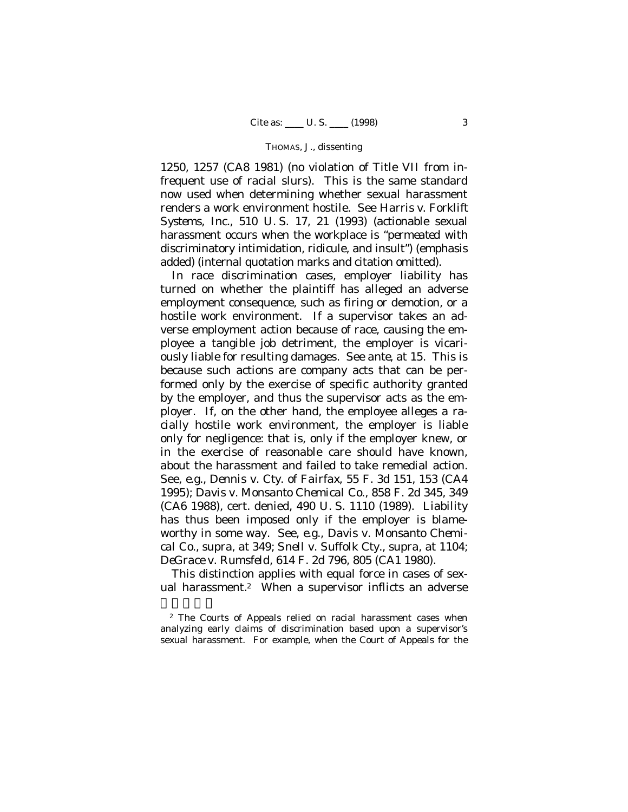1250, 1257 (CA8 1981) (no violation of Title VII from infrequent use of racial slurs). This is the same standard now used when determining whether sexual harassment renders a work environment hostile. See *Harris* v. *Forklift Systems, Inc.,* 510 U. S. 17, 21 (1993) (actionable sexual harassment occurs when the workplace is "*permeated* with discriminatory intimidation, ridicule, and insult") (emphasis added) (internal quotation marks and citation omitted).

In race discrimination cases, employer liability has turned on whether the plaintiff has alleged an adverse employment consequence, such as firing or demotion, or a hostile work environment. If a supervisor takes an adverse employment action because of race, causing the employee a tangible job detriment, the employer is vicariously liable for resulting damages. See *ante,* at 15. This is because such actions are company acts that can be performed only by the exercise of specific authority granted by the employer, and thus the supervisor acts as the employer. If, on the other hand, the employee alleges a racially hostile work environment, the employer is liable only for negligence: that is, only if the employer knew, or in the exercise of reasonable care should have known, about the harassment and failed to take remedial action. See, *e.g., Dennis* v. *Cty. of Fairfax,* 55 F. 3d 151, 153 (CA4 1995); *Davis* v. *Monsanto Chemical Co.*, 858 F. 2d 345, 349 (CA6 1988), cert. denied, 490 U. S. 1110 (1989). Liability has thus been imposed only if the employer is blameworthy in some way. See, *e.g., Davis* v. *Monsanto Chemical Co.*, *supra,* at 349; *Snell* v. *Suffolk Cty., supra,* at 1104; *DeGrace* v. *Rumsfeld*, 614 F. 2d 796, 805 (CA1 1980).

This distinction applies with equal force in cases of sexual harassment.<sup>2</sup> When a supervisor inflicts an adverse

<sup>2</sup> The Courts of Appeals relied on racial harassment cases when analyzing early claims of discrimination based upon a supervisor's sexual harassment. For example, when the Court of Appeals for the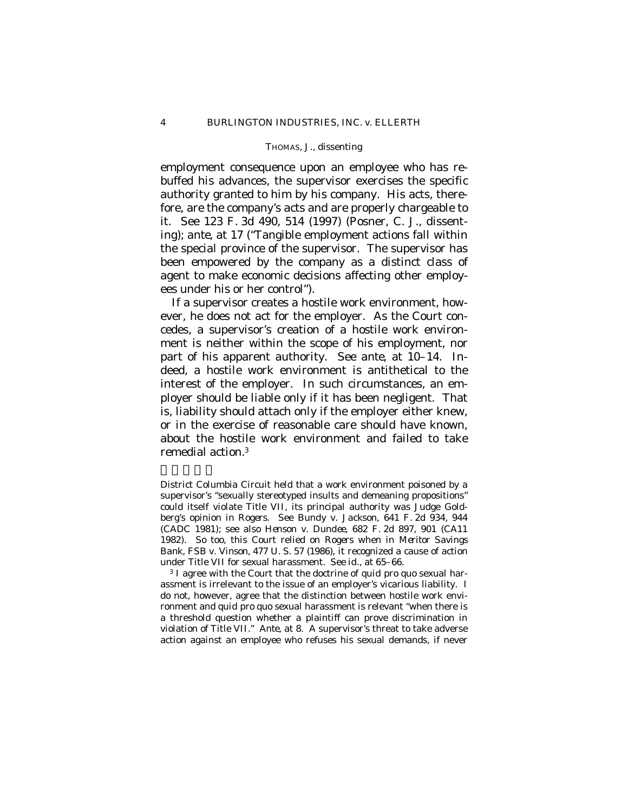employment consequence upon an employee who has rebuffed his advances, the supervisor exercises the specific authority granted to him by his company. His acts, therefore, are the company's acts and are properly chargeable to it. See 123 F. 3d 490, 514 (1997) (Posner, C. J., dissenting); *ante,* at 17 ("Tangible employment actions fall within the special province of the supervisor. The supervisor has been empowered by the company as a distinct class of agent to make economic decisions affecting other employees under his or her control").

If a supervisor creates a hostile work environment, however, he does not act for the employer. As the Court concedes, a supervisor's creation of a hostile work environment is neither within the scope of his employment, nor part of his apparent authority. See *ante,* at 10–14. Indeed, a hostile work environment is antithetical to the interest of the employer. In such circumstances, an employer should be liable only if it has been negligent. That is, liability should attach only if the employer either knew, or in the exercise of reasonable care should have known, about the hostile work environment and failed to take remedial action.<sup>3</sup>

District Columbia Circuit held that a work environment poisoned by a supervisor's "sexually stereotyped insults and demeaning propositions" could itself violate Title VII, its principal authority was Judge Goldberg's opinion in *Rogers*. See *Bundy* v. *Jackson*, 641 F. 2d 934, 944 (CADC 1981); see also *Henson* v. *Dundee*, 682 F. 2d 897, 901 (CA11 1982). So too, this Court relied on *Rogers* when in *Meritor Savings Bank, FSB* v. *Vinson,* 477 U. S. 57 (1986), it recognized a cause of action under Title VII for sexual harassment. See *id.,* at 65–66.

<sup>3</sup> I agree with the Court that the doctrine of *quid pro quo* sexual harassment is irrelevant to the issue of an employer's vicarious liability. I do not, however, agree that the distinction between hostile work environment and *quid pro quo* sexual harassment is relevant "when there is a threshold question whether a plaintiff can prove discrimination in violation of Title VII." *Ante,* at 8. A supervisor's threat to take adverse action against an employee who refuses his sexual demands, if never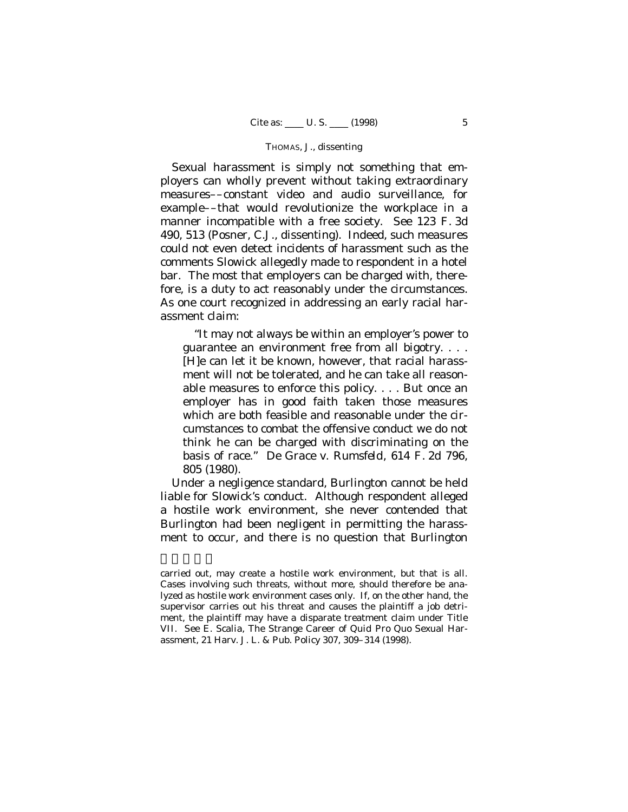Sexual harassment is simply not something that employers can wholly prevent without taking extraordinary measures––constant video and audio surveillance, for example––that would revolutionize the workplace in a manner incompatible with a free society. See 123 F. 3d 490, 513 (Posner, C.J., dissenting). Indeed, such measures could not even detect incidents of harassment such as the comments Slowick allegedly made to respondent in a hotel bar. The most that employers can be charged with, therefore, is a duty to act reasonably under the circumstances. As one court recognized in addressing an early racial harassment claim:

"It may not always be within an employer's power to guarantee an environment free from all bigotry. . . . [H]e can let it be known, however, that racial harassment will not be tolerated, and he can take all reasonable measures to enforce this policy. . . . But once an employer has in good faith taken those measures which are both feasible and reasonable under the circumstances to combat the offensive conduct we do not think he can be charged with discriminating on the basis of race." *De Grace* v. *Rumsfeld,* 614 F. 2d 796, 805 (1980).

Under a negligence standard, Burlington cannot be held liable for Slowick's conduct. Although respondent alleged a hostile work environment, she never contended that Burlington had been negligent in permitting the harassment to occur, and there is no question that Burlington

carried out, may create a hostile work environment, but that is all. Cases involving such threats, without more, should therefore be analyzed as hostile work environment cases only. If, on the other hand, the supervisor carries out his threat and causes the plaintiff a job detriment, the plaintiff may have a disparate treatment claim under Title VII. See E. Scalia, The Strange Career of *Quid Pro Quo* Sexual Harassment, 21 Harv. J. L. & Pub. Policy 307, 309–314 (1998).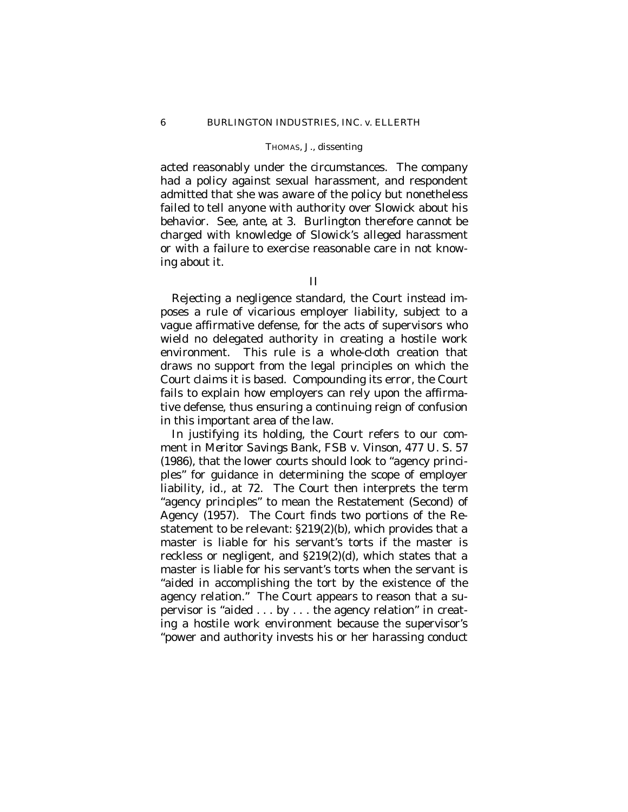acted reasonably under the circumstances. The company had a policy against sexual harassment, and respondent admitted that she was aware of the policy but nonetheless failed to tell anyone with authority over Slowick about his behavior. See, *ante,* at 3. Burlington therefore cannot be charged with knowledge of Slowick's alleged harassment or with a failure to exercise reasonable care in not knowing about it.

II

Rejecting a negligence standard, the Court instead imposes a rule of vicarious employer liability, subject to a vague affirmative defense, for the acts of supervisors who wield no delegated authority in creating a hostile work environment. This rule is a whole-cloth creation that draws no support from the legal principles on which the Court claims it is based. Compounding its error, the Court fails to explain how employers can rely upon the affirmative defense, thus ensuring a continuing reign of confusion in this important area of the law.

In justifying its holding, the Court refers to our comment in *Meritor Savings Bank, FSB* v. *Vinson,* 477 U. S. 57 (1986), that the lower courts should look to "agency principles" for guidance in determining the scope of employer liability, *id.,* at 72. The Court then interprets the term "agency principles" to mean the Restatement (Second) of Agency (1957). The Court finds two portions of the Restatement to be relevant: §219(2)(b), which provides that a master is liable for his servant's torts if the master is reckless or negligent, and §219(2)(d), which states that a master is liable for his servant's torts when the servant is "aided in accomplishing the tort by the existence of the agency relation." The Court appears to reason that a supervisor is "aided . . . by . . . the agency relation" in creating a hostile work environment because the supervisor's "power and authority invests his or her harassing conduct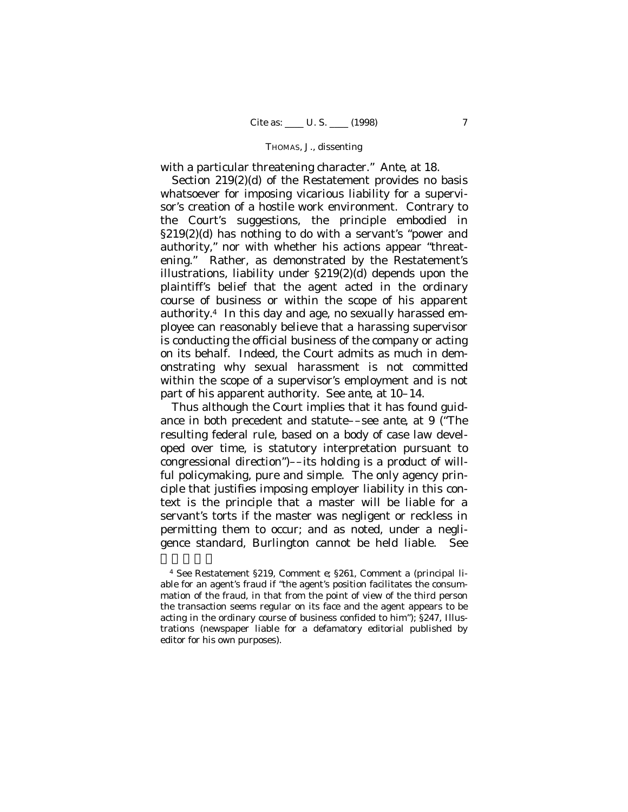with a particular threatening character." *Ante,* at 18.

Section 219(2)(d) of the Restatement provides no basis whatsoever for imposing vicarious liability for a supervisor's creation of a hostile work environment. Contrary to the Court's suggestions, the principle embodied in §219(2)(d) has nothing to do with a servant's "power and authority," nor with whether his actions appear "threatening." Rather, as demonstrated by the Restatement's illustrations, liability under §219(2)(d) depends upon the plaintiff's belief that the agent acted in the ordinary course of business or within the scope of his apparent authority.<sup>4</sup> In this day and age, no sexually harassed employee can reasonably believe that a harassing supervisor is conducting the official business of the company or acting on its behalf. Indeed, the Court admits as much in demonstrating why sexual harassment is not committed within the scope of a supervisor's employment and is not part of his apparent authority. See *ante,* at 10–14.

Thus although the Court implies that it has found guidance in both precedent and statute––see *ante,* at 9 ("The resulting federal rule, based on a body of case law developed over time, is statutory interpretation pursuant to congressional direction")––its holding is a product of willful policymaking, pure and simple. The only agency principle that justifies imposing employer liability in this context is the principle that a master will be liable for a servant's torts if the master was negligent or reckless in permitting them to occur; and as noted, under a negligence standard, Burlington cannot be held liable. See

<sup>4</sup> See Restatement §219, Comment *e*; §261, Comment *a* (principal liable for an agent's fraud if "the agent's position facilitates the consummation of the fraud, in that from the point of view of the third person the transaction seems regular on its face and the agent appears to be acting in the ordinary course of business confided to him"); §247, Illustrations (newspaper liable for a defamatory editorial published by editor for his own purposes).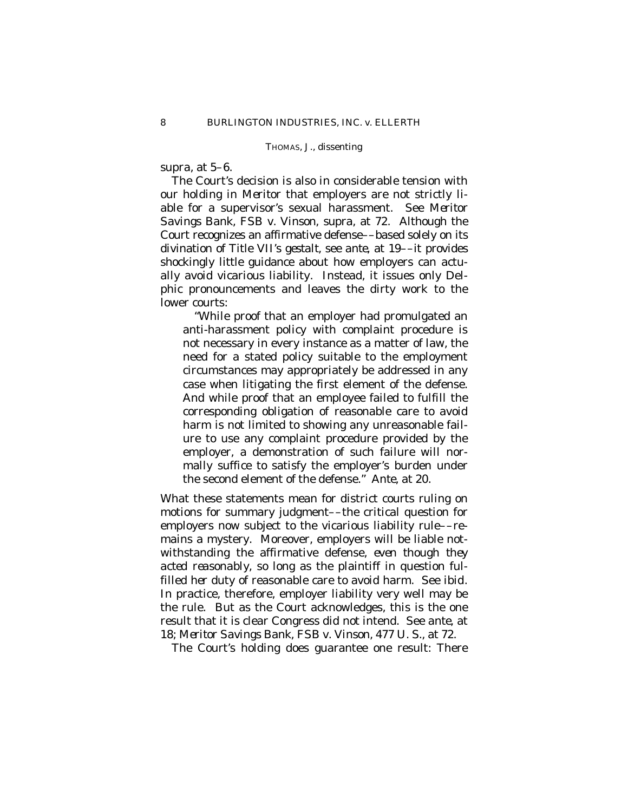*supra*, at 5–6.

The Court's decision is also in considerable tension with our holding in *Meritor* that employers are not strictly liable for a supervisor's sexual harassment. See *Meritor Savings Bank, FSB* v. *Vinson, supra,* at 72. Although the Court recognizes an affirmative defense––based solely on its divination of Title VII's *gestalt*, see *ante,* at 19––it provides shockingly little guidance about how employers can actually avoid vicarious liability. Instead, it issues only Delphic pronouncements and leaves the dirty work to the lower courts:

"While proof that an employer had promulgated an anti-harassment policy with complaint procedure is not necessary in every instance as a matter of law, the need for a stated policy suitable to the employment circumstances may appropriately be addressed in any case when litigating the first element of the defense. And while proof that an employee failed to fulfill the corresponding obligation of reasonable care to avoid harm is not limited to showing any unreasonable failure to use any complaint procedure provided by the employer, a demonstration of such failure will normally suffice to satisfy the employer's burden under the second element of the defense." *Ante,* at 20.

What these statements mean for district courts ruling on motions for summary judgment––the critical question for employers now subject to the vicarious liability rule––remains a mystery. Moreover, employers will be liable notwithstanding the affirmative defense, *even though they acted reasonably*, so long as the plaintiff in question fulfilled *her* duty of reasonable care to avoid harm. See *ibid.* In practice, therefore, employer liability very well may be the rule. But as the Court acknowledges, this is the one result that it is clear Congress did *not* intend. See *ante,* at 18; *Meritor Savings Bank, FSB* v. *Vinson,* 477 U. S., at 72.

The Court's holding does guarantee one result: There